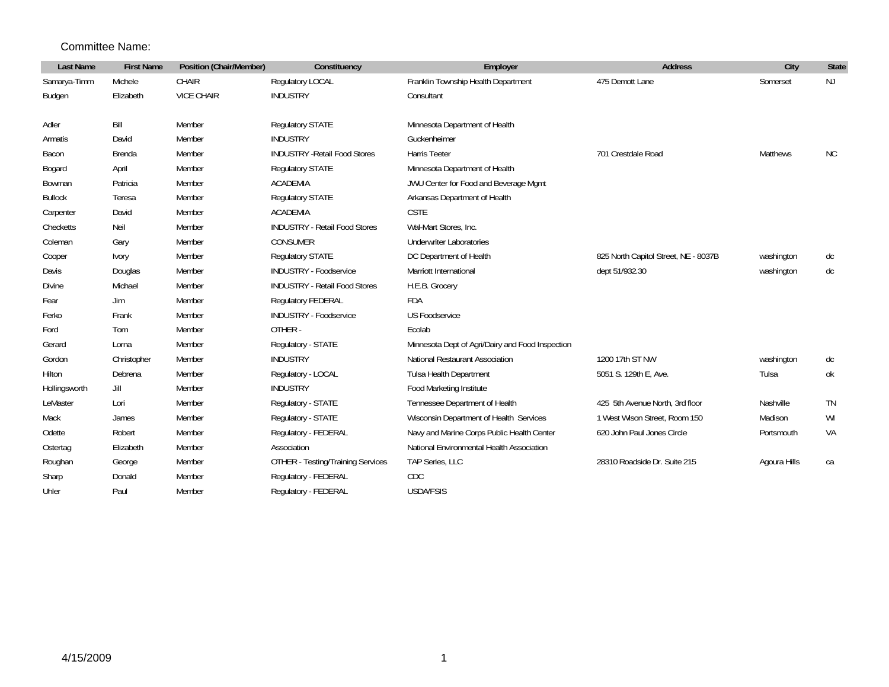## Committee Name:

| <b>Last Name</b> | <b>First Name</b> | Position (Chair/Member) | Constituency                             | Employer                                         | <b>Address</b>                       | City         | <b>State</b> |
|------------------|-------------------|-------------------------|------------------------------------------|--------------------------------------------------|--------------------------------------|--------------|--------------|
| Samarya-Timm     | Michele           | CHAIR                   | Regulatory LOCAL                         | Franklin Township Health Department              | 475 Demott Lane                      | Somerset     | <b>NJ</b>    |
| Budgen           | Elizabeth         | <b>VICE CHAIR</b>       | <b>INDUSTRY</b>                          | Consultant                                       |                                      |              |              |
|                  |                   |                         |                                          |                                                  |                                      |              |              |
| Adler            | Bill              | Member                  | Regulatory STATE                         | Minnesota Department of Health                   |                                      |              |              |
| Armatis          | David             | Member                  | <b>INDUSTRY</b>                          | Guckenheimer                                     |                                      |              |              |
| Bacon            | Brenda            | Member                  | <b>INDUSTRY - Retail Food Stores</b>     | Harris Teeter                                    | 701 Crestdale Road                   | Matthews     | <b>NC</b>    |
| Bogard           | April             | Member                  | Regulatory STATE                         | Minnesota Department of Health                   |                                      |              |              |
| Bowman           | Patricia          | Member                  | <b>ACADEMIA</b>                          | JWU Center for Food and Beverage Mgmt            |                                      |              |              |
| <b>Bullock</b>   | Teresa            | Member                  | <b>Requlatory STATE</b>                  | Arkansas Department of Health                    |                                      |              |              |
| Carpenter        | David             | Member                  | <b>ACADEMIA</b>                          | <b>CSTE</b>                                      |                                      |              |              |
| Checketts        | Neil              | Member                  | <b>INDUSTRY - Retail Food Stores</b>     | Wal-Mart Stores, Inc.                            |                                      |              |              |
| Coleman          | Gary              | Member                  | CONSUMER                                 | <b>Underwriter Laboratories</b>                  |                                      |              |              |
| Cooper           | Ivory             | Member                  | <b>Regulatory STATE</b>                  | DC Department of Health                          | 825 North Capitol Street, NE - 8037B | washington   | dc           |
| Davis            | Douglas           | Member                  | <b>INDUSTRY - Foodservice</b>            | Marriott International                           | dept 51/932.30                       | washington   | dc           |
| Divine           | Michael           | Member                  | <b>INDUSTRY - Retail Food Stores</b>     | H.E.B. Grocery                                   |                                      |              |              |
| Fear             | Jim               | Member                  | Regulatory FEDERAL                       | <b>FDA</b>                                       |                                      |              |              |
| Ferko            | Frank             | Member                  | <b>INDUSTRY - Foodservice</b>            | <b>US Foodservice</b>                            |                                      |              |              |
| Ford             | Tom               | Member                  | OTHER-                                   | Ecolab                                           |                                      |              |              |
| Gerard           | Lorna             | Member                  | Regulatory - STATE                       | Minnesota Dept of Agri/Dairy and Food Inspection |                                      |              |              |
| Gordon           | Christopher       | Member                  | <b>INDUSTRY</b>                          | National Restaurant Association                  | 1200 17th ST NW                      | washington   | dc           |
| Hilton           | Debrena           | Member                  | Regulatory - LOCAL                       | Tulsa Health Department                          | 5051 S. 129th E, Ave.                | Tulsa        | оk           |
| Hollingsworth    | Jill              | Member                  | <b>INDUSTRY</b>                          | Food Marketing Institute                         |                                      |              |              |
| LeMaster         | Lori              | Member                  | Regulatory - STATE                       | Tennessee Department of Health                   | 425 5th Avenue North, 3rd floor      | Nashville    | <b>TN</b>    |
| Mack             | James             | Member                  | Regulatory - STATE                       | Wisconsin Department of Health Services          | 1 West Wison Street, Room 150        | Madison      | WI           |
| Odette           | Robert            | Member                  | Regulatory - FEDERAL                     | Navy and Marine Corps Public Health Center       | 620 John Paul Jones Circle           | Portsmouth   | VA           |
| Ostertag         | Elizabeth         | Member                  | Association                              | National Environmental Health Association        |                                      |              |              |
| Roughan          | George            | Member                  | <b>OTHER - Testing/Training Services</b> | TAP Series, LLC                                  | 28310 Roadside Dr. Suite 215         | Agoura Hills | ca           |
| Sharp            | Donald            | Member                  | Regulatory - FEDERAL                     | CDC                                              |                                      |              |              |
| Uhler            | Paul              | Member                  | Regulatory - FEDERAL                     | <b>USDA/FSIS</b>                                 |                                      |              |              |